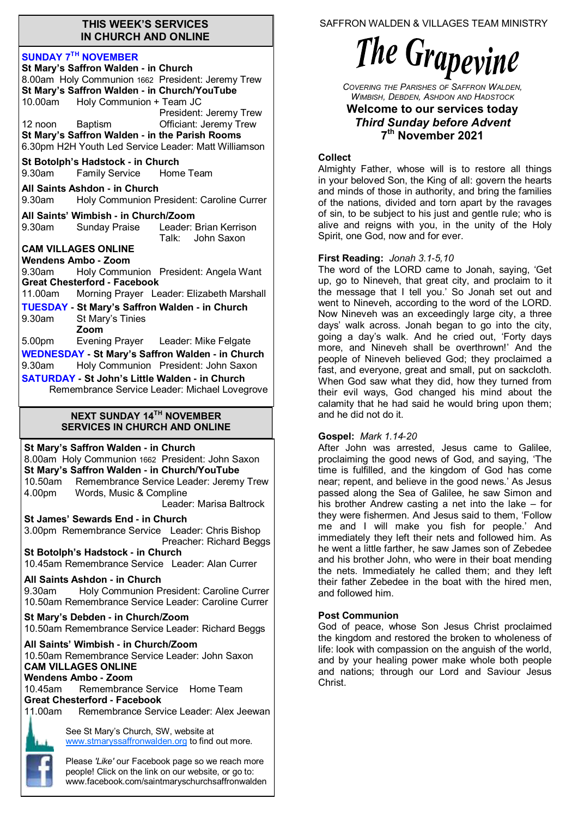#### **THIS WEEK'S SERVICES IN CHURCH AND ONLINE**

| <b>SUNDAY 7TH NOVEMBER</b><br>St Mary's Saffron Walden - in Church<br>8.00am Holy Communion 1662 President: Jeremy Trew<br>St Mary's Saffron Walden - in Church/YouTube<br>10.00am Holy Communion + Team JC<br>President: Jeremy Trew<br>12 noon Baptism<br>Officiant: Jeremy Trew<br>St Mary's Saffron Walden - in the Parish Rooms<br>6.30pm H2H Youth Led Service Leader: Matt Williamson                                                                                                                                                                             |  |  |  |
|--------------------------------------------------------------------------------------------------------------------------------------------------------------------------------------------------------------------------------------------------------------------------------------------------------------------------------------------------------------------------------------------------------------------------------------------------------------------------------------------------------------------------------------------------------------------------|--|--|--|
| St Botolph's Hadstock - in Church<br>Family Service Home Team<br>9.30am                                                                                                                                                                                                                                                                                                                                                                                                                                                                                                  |  |  |  |
| All Saints Ashdon - in Church<br>Holy Communion President: Caroline Currer<br>9.30am                                                                                                                                                                                                                                                                                                                                                                                                                                                                                     |  |  |  |
| All Saints' Wimbish - in Church/Zoom<br>9.30am Sunday Praise Leader: Brian Kerrison<br>Talk: John Saxon                                                                                                                                                                                                                                                                                                                                                                                                                                                                  |  |  |  |
| <b>CAM VILLAGES ONLINE</b><br><b>Wendens Ambo - Zoom</b><br>Holy Communion President: Angela Want<br>9.30am<br><b>Great Chesterford - Facebook</b><br>11.00am Morning Prayer Leader: Elizabeth Marshall<br><b>TUESDAY - St Mary's Saffron Walden - in Church</b><br>9.30am St Mary's Tinies<br>Zoom<br>5.00pm Evening Prayer Leader: Mike Felgate<br><b>WEDNESDAY - St Mary's Saffron Walden - in Church</b><br>Holy Communion President: John Saxon<br>9.30am<br><b>SATURDAY - St John's Little Walden - in Church</b><br>Remembrance Service Leader: Michael Lovegrove |  |  |  |
| <b>NEXT SUNDAY 14TH NOVEMBER</b><br><b>SERVICES IN CHURCH AND ONLINE</b>                                                                                                                                                                                                                                                                                                                                                                                                                                                                                                 |  |  |  |
| St Mary's Saffron Walden - in Church<br>8.00am Holy Communion 1662 President: John Saxon<br>St Mary's Saffron Walden - in Church/YouTube<br>10.50am Remembrance Service Leader: Jeremy Trew<br>4.00pm Words, Music & Compline<br>Leader: Marisa Baltrock                                                                                                                                                                                                                                                                                                                 |  |  |  |
| St James' Sewards End - in Church<br>3.00pm Remembrance Service Leader: Chris Bishop<br>Preacher: Richard Beggs<br>St Botolph's Hadstock - in Church<br>10.45am Remembrance Service Leader: Alan Currer                                                                                                                                                                                                                                                                                                                                                                  |  |  |  |
| All Saints Ashdon - in Church<br>Holy Communion President: Caroline Currer<br>9.30am<br>10.50am Remembrance Service Leader: Caroline Currer                                                                                                                                                                                                                                                                                                                                                                                                                              |  |  |  |

10.50am Remembrance Service Leader: Richard Beggs

## **All Saints' Wimbish - in Church/Zoom**

10.50am Remembrance Service Leader: John Saxon **CAM VILLAGES ONLINE Wendens Ambo - Zoom**

10.45am Remembrance Service Home Team **Great Chesterford - Facebook**

11.00am Remembrance Service Leader: Alex Jeewan

See St Mary's Church, SW, website at [www.stmaryssaffronwalden.org](http://www.stmaryssaffronwalden.org) to find out more.

Please *'Like'* our Facebook page so we reach more people! Click on the link on our website, or go to: www.facebook.com/saintmaryschurchsaffronwalden SAFFRON WALDEN & VILLAGES TEAM MINISTRY

# The Grapevine

*COVERING THE PARISHES OF SAFFRON WALDEN, WIMBISH, DEBDEN, ASHDON AND HADSTOCK*

## **Welcome to our services today**  *Third Sunday before Advent* **7 th November 2021**

#### **Collect**

Almighty Father, whose will is to restore all things in your beloved Son, the King of all: govern the hearts and minds of those in authority, and bring the families of the nations, divided and torn apart by the ravages of sin, to be subject to his just and gentle rule; who is alive and reigns with you, in the unity of the Holy Spirit, one God, now and for ever.

### **First Reading:** *Jonah 3.1-5,10*

The word of the LORD came to Jonah, saying, 'Get up, go to Nineveh, that great city, and proclaim to it the message that I tell you.' So Jonah set out and went to Nineveh, according to the word of the LORD. Now Nineveh was an exceedingly large city, a three days' walk across. Jonah began to go into the city, going a day's walk. And he cried out, 'Forty days more, and Nineveh shall be overthrown!' And the people of Nineveh believed God; they proclaimed a fast, and everyone, great and small, put on sackcloth. When God saw what they did, how they turned from their evil ways, God changed his mind about the calamity that he had said he would bring upon them; and he did not do it.

### **Gospel:** *Mark 1.14-20*

After John was arrested, Jesus came to Galilee, proclaiming the good news of God, and saying, 'The time is fulfilled, and the kingdom of God has come near; repent, and believe in the good news.' As Jesus passed along the Sea of Galilee, he saw Simon and his brother Andrew casting a net into the lake – for they were fishermen. And Jesus said to them, 'Follow me and I will make you fish for people.' And immediately they left their nets and followed him. As he went a little farther, he saw James son of Zebedee and his brother John, who were in their boat mending the nets. Immediately he called them; and they left their father Zebedee in the boat with the hired men, and followed him.

### **Post Communion**

God of peace, whose Son Jesus Christ proclaimed the kingdom and restored the broken to wholeness of life: look with compassion on the anguish of the world, and by your healing power make whole both people and nations; through our Lord and Saviour Jesus Christ.